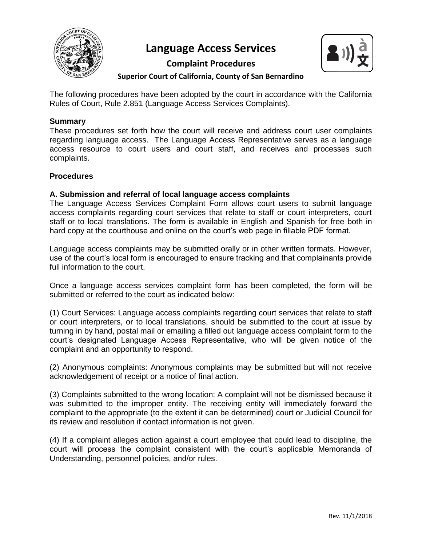

# **Language Access Services**



# **Complaint Procedures Superior Court of California, County of San Bernardino**

The following procedures have been adopted by the court in accordance with the California Rules of Court, Rule 2.851 (Language Access Services Complaints).

#### **Summary**

These procedures set forth how the court will receive and address court user complaints regarding language access. The Language Access Representative serves as a language access resource to court users and court staff, and receives and processes such complaints.

#### **Procedures**

#### **A. Submission and referral of local language access complaints**

The Language Access Services Complaint Form allows court users to submit language access complaints regarding court services that relate to staff or court interpreters, court staff or to local translations. The form is available in English and Spanish for free both in hard copy at the courthouse and online on the court's web page in fillable PDF format.

Language access complaints may be submitted orally or in other written formats. However, use of the court's local form is encouraged to ensure tracking and that complainants provide full information to the court.

Once a language access services complaint form has been completed, the form will be submitted or referred to the court as indicated below:

(1) Court Services: Language access complaints regarding court services that relate to staff or court interpreters, or to local translations, should be submitted to the court at issue by turning in by hand, postal mail or emailing a filled out language access complaint form to the court's designated Language Access Representative, who will be given notice of the complaint and an opportunity to respond.

(2) Anonymous complaints: Anonymous complaints may be submitted but will not receive acknowledgement of receipt or a notice of final action.

(3) Complaints submitted to the wrong location: A complaint will not be dismissed because it was submitted to the improper entity. The receiving entity will immediately forward the complaint to the appropriate (to the extent it can be determined) court or Judicial Council for its review and resolution if contact information is not given.

(4) If a complaint alleges action against a court employee that could lead to discipline, the court will process the complaint consistent with the court's applicable Memoranda of Understanding, personnel policies, and/or rules.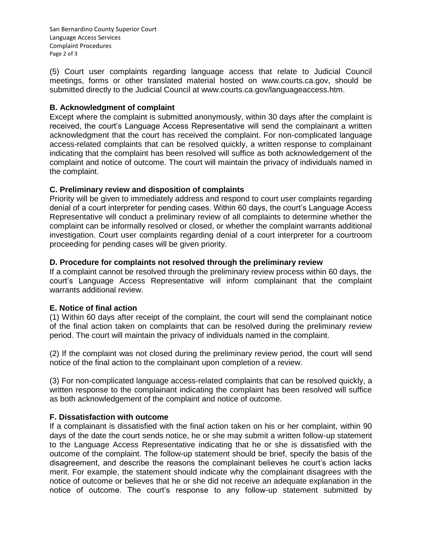San Bernardino County Superior Court Language Access Services Complaint Procedures Page 2 of 3

(5) Court user complaints regarding language access that relate to Judicial Council meetings, forms or other translated material hosted on www.courts.ca.gov, should be submitted directly to the Judicial Council at www.courts.ca.gov/languageaccess.htm.

# **B. Acknowledgment of complaint**

Except where the complaint is submitted anonymously, within 30 days after the complaint is received, the court's Language Access Representative will send the complainant a written acknowledgment that the court has received the complaint. For non-complicated language access-related complaints that can be resolved quickly, a written response to complainant indicating that the complaint has been resolved will suffice as both acknowledgement of the complaint and notice of outcome. The court will maintain the privacy of individuals named in the complaint.

# **C. Preliminary review and disposition of complaints**

Priority will be given to immediately address and respond to court user complaints regarding denial of a court interpreter for pending cases. Within 60 days, the court's Language Access Representative will conduct a preliminary review of all complaints to determine whether the complaint can be informally resolved or closed, or whether the complaint warrants additional investigation. Court user complaints regarding denial of a court interpreter for a courtroom proceeding for pending cases will be given priority.

# **D. Procedure for complaints not resolved through the preliminary review**

If a complaint cannot be resolved through the preliminary review process within 60 days, the court's Language Access Representative will inform complainant that the complaint warrants additional review.

#### **E. Notice of final action**

(1) Within 60 days after receipt of the complaint, the court will send the complainant notice of the final action taken on complaints that can be resolved during the preliminary review period. The court will maintain the privacy of individuals named in the complaint.

(2) If the complaint was not closed during the preliminary review period, the court will send notice of the final action to the complainant upon completion of a review.

(3) For non-complicated language access-related complaints that can be resolved quickly, a written response to the complainant indicating the complaint has been resolved will suffice as both acknowledgement of the complaint and notice of outcome.

#### **F. Dissatisfaction with outcome**

If a complainant is dissatisfied with the final action taken on his or her complaint, within 90 days of the date the court sends notice, he or she may submit a written follow-up statement to the Language Access Representative indicating that he or she is dissatisfied with the outcome of the complaint. The follow-up statement should be brief, specify the basis of the disagreement, and describe the reasons the complainant believes he court's action lacks merit. For example, the statement should indicate why the complainant disagrees with the notice of outcome or believes that he or she did not receive an adequate explanation in the notice of outcome. The court's response to any follow-up statement submitted by